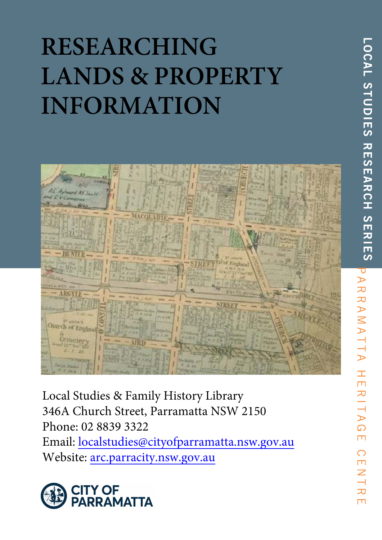# **RESEARCHING LANDS & PROPERTY INFORMATION**



Local Studies & Family History Library 346A Church Street, Parramatta NSW 2150 Phone: 02 8839 3322 Email: localstudies@cityofparramatta.nsw.gov.au Website: arc.parracity.nsw.gov.au



**LOCAL SHOULES REVENES ENTIRES AR** RAMATTA  $\pm$  $\overline{\mathbf{u}}$ RIT  $\triangleright$  $\Omega$  $\Box$  $\bigcirc$ m  $\overline{\mathcal{Z}}$ 刀  $\Box$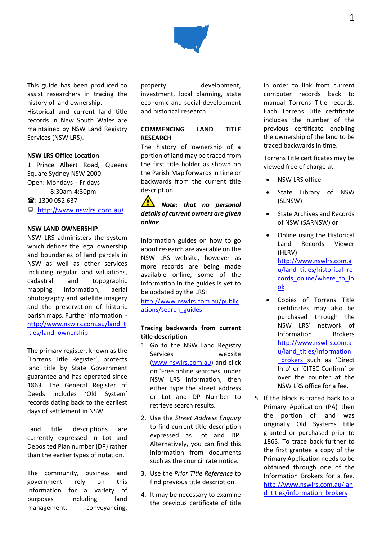

This guide has been produced to assist researchers in tracing the history of land ownership.

Historical and current land title records in New South Wales are maintained by NSW Land Registry Services (NSW LRS).

### **NSW LRS Office Location**

1 Prince Albert Road, Queens Square Sydney NSW 2000. Open: Mondays – Fridays 8:30am-4:30pm  $\mathbf{\widehat{m}}$ : 1300 052 637

: <http://www.nswlrs.com.au/>

## **NSW LAND OWNERSHIP**

NSW LRS administers the system which defines the legal ownership and boundaries of land parcels in NSW as well as other services including regular land valuations, cadastral and topographic mapping information, aerial photography and satellite imagery and the preservation of historic parish maps. Further information [http://www.nswlrs.com.au/land\\_t](http://www.nswlrs.com.au/land_titles/land_ownership) [itles/land\\_ownership](http://www.nswlrs.com.au/land_titles/land_ownership)

The primary register, known as the 'Torrens Title Register', protects land title by State Government guarantee and has operated since 1863. The General Register of Deeds includes 'Old System' records dating back to the earliest days of settlement in NSW.

Land title descriptions are currently expressed in Lot and Deposited Plan number (DP) rather than the earlier types of notation.

The community, business and government rely on this information for a variety of purposes including land management, conveyancing,

property development, investment, local planning, state economic and social development and historical research.

## **COMMENCING LAND TITLE RESEARCH**

The history of ownership of a portion of land may be traced from the first title holder as shown on the Parish Map forwards in time or backwards from the current title description.

*Note: that no personal details of current owners are given online.* 

Information guides on how to go about research are available on the NSW LRS website, however as more records are being made available online, some of the information in the guides is yet to be updated by the LRS:

[http://www.nswlrs.com.au/public](http://www.nswlrs.com.au/publications/search_guides) [ations/search\\_guides](http://www.nswlrs.com.au/publications/search_guides)

## **Tracing backwards from current title description**

- 1. Go to the NSW Land Registry Services website (www.nswlrs.com.au) and click on 'Free online searches' under NSW LRS Information, then either type the street address or Lot and DP Number to retrieve search results.
- 2. Use the *Street Address Enquiry*  to find current title description expressed as Lot and DP. Alternatively, you can find this information from documents such as the council rate notice.
- 3. Use the *Prior Title Reference* to find previous title description.
- 4. It may be necessary to examine the previous certificate of title

in order to link from current computer records back to manual Torrens Title records. Each Torrens Title certificate includes the number of the previous certificate enabling the ownership of the land to be traced backwards in time.

Torrens Title certificates may be viewed free of charge at:

- **NSW LRS office**
- State Library of NSW (SLNSW)
- State Archives and Records of NSW (SARNSW) or
- Online using the Historical Land Records Viewer (HLRV) [http://www.nswlrs.com.a](http://www.nswlrs.com.au/land_titles/historical_records_online/where_to_look) [u/land\\_titles/historical\\_re](http://www.nswlrs.com.au/land_titles/historical_records_online/where_to_look) [cords\\_online/where\\_to\\_lo](http://www.nswlrs.com.au/land_titles/historical_records_online/where_to_look) [ok](http://www.nswlrs.com.au/land_titles/historical_records_online/where_to_look)
- Copies of Torrens Title certificates may also be purchased through the NSW LRS' network of Information Brokers [http://www.nswlrs.com.a](http://www.nswlrs.com.au/land_titles/information_brokers) [u/land\\_titles/information](http://www.nswlrs.com.au/land_titles/information_brokers) [\\_brokers](http://www.nswlrs.com.au/land_titles/information_brokers) such as 'Direct Info' or 'CITEC Confirm' or over the counter at the NSW LRS office for a fee.
- 5. If the block is traced back to a Primary Application (PA) then the portion of land was originally Old Systems title granted or purchased prior to 1863. To trace back further to the first grantee a copy of the Primary Application needs to be obtained through one of the Information Brokers for a fee. [http://www.nswlrs.com.au/lan](http://www.nswlrs.com.au/land_titles/information_brokers) d titles/information brokers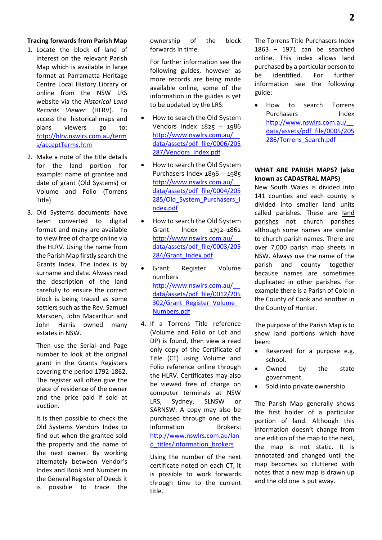## **Tracing forwards from Parish Map**

- 1. Locate the block of land of interest on the relevant Parish Map which is available in large format at Parramatta Heritage Centre Local History Library or online from the NSW LRS website via the *Historical Land Records Viewer* (HLRV). To access the historical maps and plans viewers go to: [http://hlrv.nswlrs.com.au/term](http://hlrv.nswlrs.com.au/terms/acceptTerms.htm) [s/acceptTerms.htm](http://hlrv.nswlrs.com.au/terms/acceptTerms.htm)
- 2. Make a note of the title details for the land portion for example: name of grantee and date of grant (Old Systems) or Volume and Folio (Torrens Title).
- 3. Old Systems documents have been converted to digital format and many are available to view free of charge online via the HLRV. Using the name from the Parish Map firstly search the Grants Index. The index is by surname and date. Always read the description of the land carefully to ensure the correct block is being traced as some settlers such as the Rev. Samuel Marsden, John Macarthur and John Harris owned many estates in NSW.

Then use the Serial and Page number to look at the original grant in the Grants Registers covering the period 1792-1862. The register will often give the place of residence of the owner and the price paid if sold at auction.

It is then possible to check the Old Systems Vendors Index to find out when the grantee sold the property and the name of the next owner. By working alternately between Vendor's Index and Book and Number in the General Register of Deeds it is possible to trace the

ownership of the block forwards in time.

For further information see the following guides, however as more records are being made available online, some of the information in the guides is yet to be updated by the LRS:

- How to search the Old System Vendors Index 1825 – 1986 [http://www.nswlrs.com.au/\\_\\_](http://www.nswlrs.com.au/__data/assets/pdf_file/0006/205287/Vendors_Index.pdf) [data/assets/pdf\\_file/0006/205](http://www.nswlrs.com.au/__data/assets/pdf_file/0006/205287/Vendors_Index.pdf) [287/Vendors\\_Index.pdf](http://www.nswlrs.com.au/__data/assets/pdf_file/0006/205287/Vendors_Index.pdf)
- How to search the Old System Purchasers Index 1896 – 1985 [http://www.nswlrs.com.au/\\_\\_](http://www.nswlrs.com.au/__data/assets/pdf_file/0004/205285/Old_System_Purchasers_Index.pdf) [data/assets/pdf\\_file/0004/205](http://www.nswlrs.com.au/__data/assets/pdf_file/0004/205285/Old_System_Purchasers_Index.pdf) [285/Old\\_System\\_Purchasers\\_I](http://www.nswlrs.com.au/__data/assets/pdf_file/0004/205285/Old_System_Purchasers_Index.pdf) [ndex.pdf](http://www.nswlrs.com.au/__data/assets/pdf_file/0004/205285/Old_System_Purchasers_Index.pdf)
- How to search the Old System Grant Index 1792–1862 [http://www.nswlrs.com.au/\\_\\_](http://www.nswlrs.com.au/__data/assets/pdf_file/0003/205284/Grant_Index.pdf) [data/assets/pdf\\_file/0003/205](http://www.nswlrs.com.au/__data/assets/pdf_file/0003/205284/Grant_Index.pdf) [284/Grant\\_Index.pdf](http://www.nswlrs.com.au/__data/assets/pdf_file/0003/205284/Grant_Index.pdf)
- Grant Register Volume numbers [http://www.nswlrs.com.au/\\_\\_](http://www.nswlrs.com.au/__data/assets/pdf_file/0012/205302/Grant_Register_Volume_Numbers.pdf) [data/assets/pdf\\_file/0012/205](http://www.nswlrs.com.au/__data/assets/pdf_file/0012/205302/Grant_Register_Volume_Numbers.pdf) [302/Grant\\_Register\\_Volume\\_](http://www.nswlrs.com.au/__data/assets/pdf_file/0012/205302/Grant_Register_Volume_Numbers.pdf) [Numbers.pdf](http://www.nswlrs.com.au/__data/assets/pdf_file/0012/205302/Grant_Register_Volume_Numbers.pdf)
- 4. If a Torrens Title reference (Volume and Folio or Lot and DP) is found, then view a read only copy of the Certificate of Title (CT) using Volume and Folio reference online through the HLRV. Certificates may also be viewed free of charge on computer terminals at NSW LRS, Sydney, SLNSW or SARNSW. A copy may also be purchased through one of the Information Brokers: [http://www.nswlrs.com.au/lan](http://www.nswlrs.com.au/land_titles/information_brokers) d titles/information brokers

Using the number of the next certificate noted on each CT, it is possible to work forwards through time to the current title.

The Torrens Title Purchasers Index 1863 – 1971 can be searched online. This index allows land purchased by a particular person to be identified. For further information see the following guide:

• How to search Torrens Purchasers Index [http://www.nswlrs.com.au/\\_\\_](http://www.nswlrs.com.au/__data/assets/pdf_file/0005/205286/Torrens_Search.pdf) [data/assets/pdf\\_file/0005/205](http://www.nswlrs.com.au/__data/assets/pdf_file/0005/205286/Torrens_Search.pdf) [286/Torrens\\_Search.pdf](http://www.nswlrs.com.au/__data/assets/pdf_file/0005/205286/Torrens_Search.pdf)

## **WHAT ARE PARISH MAPS? (also known as CADASTRAL MAPS)**

New South Wales is divided into 141 counties and each county is divided into smaller land units called parishes. These are land parishes not church parishes although some names are similar to church parish names. There are over 7,000 parish map sheets in NSW. Always use the name of the parish and county together because names are sometimes duplicated in other parishes. For example there is a Parish of Colo in the County of Cook and another in the County of Hunter.

The purpose of the Parish Map is to show land portions which have been:

- Reserved for a purpose e.g. school.
- Owned by the state government.
- Sold into private ownership.

The Parish Map generally shows the first holder of a particular portion of land. Although this information doesn't change from one edition of the map to the next, the map is not static. It is annotated and changed until the map becomes so cluttered with notes that a new map is drawn up and the old one is put away.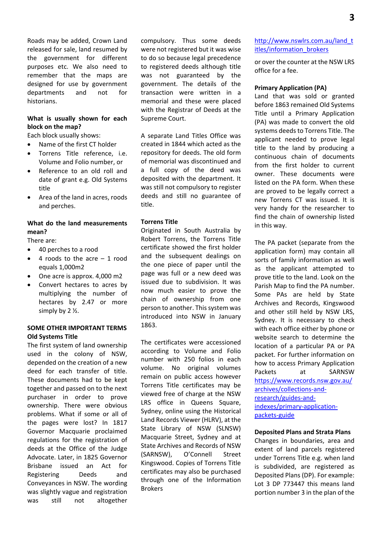Roads may be added, Crown Land released for sale, land resumed by the government for different purposes etc. We also need to remember that the maps are designed for use by government departments and not for historians.

## **What is usually shown for each block on the map?**

Each block usually shows:

- Name of the first CT holder
- Torrens Title reference, i.e. Volume and Folio number, or
- Reference to an old roll and date of grant e.g. Old Systems title
- Area of the land in acres, roods and perches.

## **What do the land measurements mean?**

There are:

- 40 perches to a rood
- $\bullet$  4 roods to the acre  $-1$  rood equals 1,000m2
- One acre is approx. 4,000 m2
- Convert hectares to acres by multiplying the number of hectares by 2.47 or more simply by 2 ½.

## **SOME OTHER IMPORTANT TERMS Old Systems Title**

The first system of land ownership used in the colony of NSW, depended on the creation of a new deed for each transfer of title. These documents had to be kept together and passed on to the next purchaser in order to prove ownership. There were obvious problems. What if some or all of the pages were lost? In 1817 Governor Macquarie proclaimed regulations for the registration of deeds at the Office of the Judge Advocate. Later, in 1825 Governor Brisbane issued an Act for Registering Deeds and Conveyances in NSW. The wording was slightly vague and registration was still not altogether

compulsory. Thus some deeds were not registered but it was wise to do so because legal precedence to registered deeds although title was not guaranteed by the government. The details of the transaction were written in a memorial and these were placed with the Registrar of Deeds at the Supreme Court.

A separate Land Titles Office was created in 1844 which acted as the repository for deeds. The old form of memorial was discontinued and a full copy of the deed was deposited with the department. It was still not compulsory to register deeds and still no guarantee of title.

### **Torrens Title**

Originated in South Australia by Robert Torrens, the Torrens Title certificate showed the first holder and the subsequent dealings on the one piece of paper until the page was full or a new deed was issued due to subdivision. It was now much easier to prove the chain of ownership from one person to another. This system was introduced into NSW in January 1863.

The certificates were accessioned according to Volume and Folio number with 250 folios in each volume. No original volumes remain on public access however Torrens Title certificates may be viewed free of charge at the NSW LRS office in Queens Square, Sydney, online using the Historical Land Records Viewer (HLRV), at the State Library of NSW (SLNSW) Macquarie Street, Sydney and at State Archives and Records of NSW (SARNSW), O'Connell Street Kingswood. Copies of Torrens Title certificates may also be purchased through one of the Information Brokers

## [http://www.nswlrs.com.au/land\\_t](http://www.nswlrs.com.au/land_titles/information_brokers) [itles/information\\_brokers](http://www.nswlrs.com.au/land_titles/information_brokers)

or over the counter at the NSW LRS office for a fee.

#### **Primary Application (PA)**

Land that was sold or granted before 1863 remained Old Systems Title until a Primary Application (PA) was made to convert the old systems deeds to Torrens Title. The applicant needed to prove legal title to the land by producing a continuous chain of documents from the first holder to current owner. These documents were listed on the PA form. When these are proved to be legally correct a new Torrens CT was issued. It is very handy for the researcher to find the chain of ownership listed in this way.

The PA packet (separate from the application form) may contain all sorts of family information as well as the applicant attempted to prove title to the land. Look on the Parish Map to find the PA number. Some PAs are held by State Archives and Records, Kingswood and other still held by NSW LRS, Sydney. It is necessary to check with each office either by phone or website search to determine the location of a particular PA or PA packet. For further information on how to access Primary Application Packets at SARNSW [https://www.records.nsw.gov.au/](https://www.records.nsw.gov.au/archives/collections-and-research/guides-and-indexes/primary-application-packets-guide) [archives/collections-and](https://www.records.nsw.gov.au/archives/collections-and-research/guides-and-indexes/primary-application-packets-guide)[research/guides-and](https://www.records.nsw.gov.au/archives/collections-and-research/guides-and-indexes/primary-application-packets-guide)[indexes/primary-application](https://www.records.nsw.gov.au/archives/collections-and-research/guides-and-indexes/primary-application-packets-guide)[packets-guide](https://www.records.nsw.gov.au/archives/collections-and-research/guides-and-indexes/primary-application-packets-guide)

### **Deposited Plans and Strata Plans**

Changes in boundaries, area and extent of land parcels registered under Torrens Title e.g. when land is subdivided, are registered as Deposited Plans (DP). For example: Lot 3 DP 773447 this means land portion number 3 in the plan of the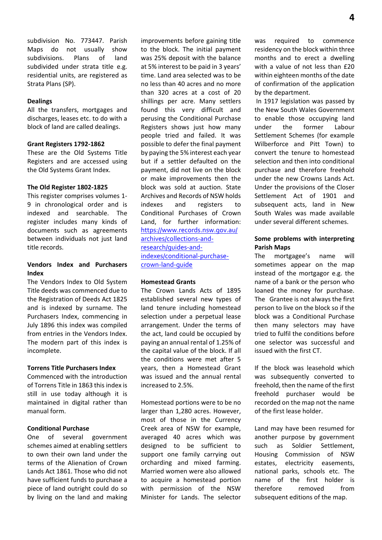subdivision No. 773447. Parish Maps do not usually show subdivisions. Plans of land subdivided under strata title e.g. residential units, are registered as Strata Plans (SP).

#### **Dealings**

All the transfers, mortgages and discharges, leases etc. to do with a block of land are called dealings.

#### **Grant Registers 1792-1862**

These are the Old Systems Title Registers and are accessed using the Old Systems Grant Index.

#### **The Old Register 1802-1825**

This register comprises volumes 1- 9 in chronological order and is indexed and searchable. The register includes many kinds of documents such as agreements between individuals not just land title records.

## **Vendors Index and Purchasers Index**

The Vendors Index to Old System Title deeds was commenced due to the Registration of Deeds Act 1825 and is indexed by surname. The Purchasers Index, commencing in July 1896 this index was compiled from entries in the Vendors Index. The modern part of this index is incomplete.

## **Torrens Title Purchasers Index**

Commenced with the introduction of Torrens Title in 1863 this index is still in use today although it is maintained in digital rather than manual form.

#### **Conditional Purchase**

One of several government schemes aimed at enabling settlers to own their own land under the terms of the Alienation of Crown Lands Act 1861. Those who did not have sufficient funds to purchase a piece of land outright could do so by living on the land and making

improvements before gaining title to the block. The initial payment was 25% deposit with the balance at 5% interest to be paid in 3 years' time. Land area selected was to be no less than 40 acres and no more than 320 acres at a cost of 20 shillings per acre. Many settlers found this very difficult and perusing the Conditional Purchase Registers shows just how many people tried and failed. It was possible to defer the final payment by paying the 5% interest each year but if a settler defaulted on the payment, did not live on the block or make improvements then the block was sold at auction. State Archives and Records of NSW holds indexes and registers to Conditional Purchases of Crown Land, for further information: [https://www.records.nsw.gov.au/](https://www.records.nsw.gov.au/archives/collections-and-research/guides-and-indexes/conditional-purchase-crown-land-guide) [archives/collections-and](https://www.records.nsw.gov.au/archives/collections-and-research/guides-and-indexes/conditional-purchase-crown-land-guide)[research/guides-and](https://www.records.nsw.gov.au/archives/collections-and-research/guides-and-indexes/conditional-purchase-crown-land-guide)[indexes/conditional-purchase](https://www.records.nsw.gov.au/archives/collections-and-research/guides-and-indexes/conditional-purchase-crown-land-guide)[crown-land-guide](https://www.records.nsw.gov.au/archives/collections-and-research/guides-and-indexes/conditional-purchase-crown-land-guide)

#### **Homestead Grants**

The Crown Lands Acts of 1895 established several new types of land tenure including homestead selection under a perpetual lease arrangement. Under the terms of the act, land could be occupied by paying an annual rental of 1.25% of the capital value of the block. If all the conditions were met after 5 years, then a Homestead Grant was issued and the annual rental increased to 2.5%.

Homestead portions were to be no larger than 1,280 acres. However, most of those in the Currency Creek area of NSW for example, averaged 40 acres which was designed to be sufficient to support one family carrying out orcharding and mixed farming. Married women were also allowed to acquire a homestead portion with permission of the NSW Minister for Lands. The selector was required to commence residency on the block within three months and to erect a dwelling with a value of not less than £20 within eighteen months of the date of confirmation of the application by the department.

In 1917 legislation was passed by the New South Wales Government to enable those occupying land under the former Labour Settlement Schemes (for example Wilberforce and Pitt Town) to convert the tenure to homestead selection and then into conditional purchase and therefore freehold under the new Crowns Lands Act. Under the provisions of the Closer Settlement Act of 1901 and subsequent acts, land in New South Wales was made available under several different schemes.

## **Some problems with interpreting Parish Maps**

The mortgagee's name will sometimes appear on the map instead of the mortgagor e.g. the name of a bank or the person who loaned the money for purchase. The Grantee is not always the first person to live on the block so if the block was a Conditional Purchase then many selectors may have tried to fulfil the conditions before one selector was successful and issued with the first CT.

If the block was leasehold which was subsequently converted to freehold, then the name of the first freehold purchaser would be recorded on the map not the name of the first lease holder.

Land may have been resumed for another purpose by government such as Soldier Settlement, Housing Commission of NSW estates, electricity easements, national parks, schools etc. The name of the first holder is therefore removed from subsequent editions of the map.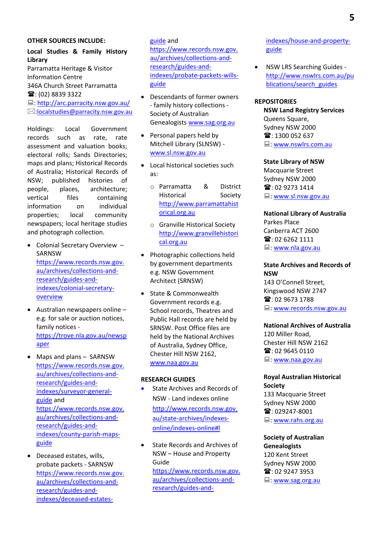#### **OTHER SOURCES INCLUDE:**

## **Local Studies & Family History Library**

Parramatta Heritage & Visitor Information Centre 346A Church Street Parramatta **■: (02) 8839 3322 <u>■:<http://arc.parracity.nsw.gov.au/></u>** [:localstudies@parracity.nsw.gov.au](mailto:localstudies@parracity.nsw.gov.au)

Holdings: Local Government records such as rate, rate assessment and valuation books; electoral rolls; Sands Directories; maps and plans; Historical Records of Australia; Historical Records of NSW; published histories of people, places, architecture; vertical files containing information on individual properties; local community newspapers; local heritage studies and photograph collection.

- Colonial Secretary Overview SARNSW [https://www.records.nsw.gov.](https://www.records.nsw.gov.au/archives/collections-and-research/guides-and-indexes/colonial-secretary-overview) [au/archives/collections-and](https://www.records.nsw.gov.au/archives/collections-and-research/guides-and-indexes/colonial-secretary-overview)[research/guides-and](https://www.records.nsw.gov.au/archives/collections-and-research/guides-and-indexes/colonial-secretary-overview)[indexes/colonial-secretary](https://www.records.nsw.gov.au/archives/collections-and-research/guides-and-indexes/colonial-secretary-overview)**[overview](https://www.records.nsw.gov.au/archives/collections-and-research/guides-and-indexes/colonial-secretary-overview)**
- Australian newspapers online e.g. for sale or auction notices, family notices [https://trove.nla.gov.au/newsp](https://trove.nla.gov.au/newspaper) [aper](https://trove.nla.gov.au/newspaper)
- Maps and plans SARNSW [https://www.records.nsw.gov.](https://www.records.nsw.gov.au/archives/collections-and-research/guides-and-indexes/surveyor-general-guide) [au/archives/collections-and](https://www.records.nsw.gov.au/archives/collections-and-research/guides-and-indexes/surveyor-general-guide)[research/guides-and](https://www.records.nsw.gov.au/archives/collections-and-research/guides-and-indexes/surveyor-general-guide)[indexes/surveyor-general](https://www.records.nsw.gov.au/archives/collections-and-research/guides-and-indexes/surveyor-general-guide)[guide](https://www.records.nsw.gov.au/archives/collections-and-research/guides-and-indexes/surveyor-general-guide) and [https://www.records.nsw.gov.](https://www.records.nsw.gov.au/archives/collections-and-research/guides-and-indexes/county-parish-maps-guide) [au/archives/collections-and](https://www.records.nsw.gov.au/archives/collections-and-research/guides-and-indexes/county-parish-maps-guide)[research/guides-and](https://www.records.nsw.gov.au/archives/collections-and-research/guides-and-indexes/county-parish-maps-guide)[indexes/county-parish-maps](https://www.records.nsw.gov.au/archives/collections-and-research/guides-and-indexes/county-parish-maps-guide)[guide](https://www.records.nsw.gov.au/archives/collections-and-research/guides-and-indexes/county-parish-maps-guide)
- Deceased estates, wills, probate packets - SARNSW [https://www.records.nsw.gov.](https://www.records.nsw.gov.au/archives/collections-and-research/guides-and-indexes/deceased-estates-guide) [au/archives/collections-and](https://www.records.nsw.gov.au/archives/collections-and-research/guides-and-indexes/deceased-estates-guide)[research/guides-and](https://www.records.nsw.gov.au/archives/collections-and-research/guides-and-indexes/deceased-estates-guide)[indexes/deceased-estates-](https://www.records.nsw.gov.au/archives/collections-and-research/guides-and-indexes/deceased-estates-guide)

## [guide](https://www.records.nsw.gov.au/archives/collections-and-research/guides-and-indexes/deceased-estates-guide) and

[https://www.records.nsw.gov.](https://www.records.nsw.gov.au/archives/collections-and-research/guides-and-indexes/probate-packets-wills-guide) [au/archives/collections-and](https://www.records.nsw.gov.au/archives/collections-and-research/guides-and-indexes/probate-packets-wills-guide)[research/guides-and](https://www.records.nsw.gov.au/archives/collections-and-research/guides-and-indexes/probate-packets-wills-guide)[indexes/probate-packets-wills](https://www.records.nsw.gov.au/archives/collections-and-research/guides-and-indexes/probate-packets-wills-guide)[guide](https://www.records.nsw.gov.au/archives/collections-and-research/guides-and-indexes/probate-packets-wills-guide)

- Descendants of former owners - family history collections - Society of Australian Genealogist[s www.sag.org.au](http://www.sag.org.au/)
- Personal papers held by Mitchell Library (SLNSW) [www.sl.nsw.gov.au](http://www.sl.nsw.gov.au/)
- Local historical societies such as:
	- o Parramatta & District Historical Society [http://www.parramattahist](http://www.parramattahistorical.org.au/) [orical.org.au](http://www.parramattahistorical.org.au/)
	- o Granville Historical Society [http://www.granvillehistori](http://www.granvillehistorical.org.au/) [cal.org.au](http://www.granvillehistorical.org.au/)
- Photographic collections held by government departments e.g. NSW Government Architect (SRNSW)
- State & Commonwealth Government records e.g. School records, Theatres and Public Hall records are held by SRNSW. Post Office files are held by the National Archives of Australia, Sydney Office, Chester Hill NSW 2162, [www.naa.gov.au](http://www.naa.gov.au/)

#### **RESEARCH GUIDES**

- State Archives and Records of NSW - Land indexes online [http://www.records.nsw.gov.](http://www.records.nsw.gov.au/state-archives/indexes-online/indexes-online#l) [au/state-archives/indexes](http://www.records.nsw.gov.au/state-archives/indexes-online/indexes-online#l)[online/indexes-online#l](http://www.records.nsw.gov.au/state-archives/indexes-online/indexes-online#l)
- State Records and Archives of NSW – House and Property Guide [https://www.records.nsw.gov.](https://www.records.nsw.gov.au/archives/collections-and-research/guides-and-indexes/house-and-property-guide) [au/archives/collections-and](https://www.records.nsw.gov.au/archives/collections-and-research/guides-and-indexes/house-and-property-guide)[research/guides-and-](https://www.records.nsw.gov.au/archives/collections-and-research/guides-and-indexes/house-and-property-guide)

[indexes/house-and-property](https://www.records.nsw.gov.au/archives/collections-and-research/guides-and-indexes/house-and-property-guide)[guide](https://www.records.nsw.gov.au/archives/collections-and-research/guides-and-indexes/house-and-property-guide)

• NSW LRS Searching Guides [http://www.nswlrs.com.au/pu](http://www.nswlrs.com.au/publications/search_guides) [blications/search\\_guides](http://www.nswlrs.com.au/publications/search_guides)

## **REPOSITORIES**

**NSW Land Registry Services** Queens Square, Sydney NSW 2000 **雪**: 1300 052 637  $\Box$ : www.nswlrs.com.au

#### **State Library of NSW**

Macquarie Street Sydney NSW 2000 **@**: 02 9273 1414 : [www.sl.nsw.gov.au](http://www.sl.nsw.gov.au/) 

#### **National Library of Australia**

Parkes Place Canberra ACT 2600  $\mathbf{\widehat{m}}$ : 02 6262 1111 : [www.nla.gov.au](http://www.nla.gov.au/)

## **State Archives and Records of NSW**

143 O'Connell Street, Kingswood NSW 2747 **@**: 02 9673 1788 : [www.records.nsw.gov.au](http://www.records.nsw.gov.au/) 

#### **National Archives of Australia**

120 Miller Road, Chester Hill NSW 2162  $\mathbf{\widehat{m}}$ : 02 9645 0110 ■: www.naa.gov.au

### **Royal Australian Historical Society**

133 Macquarie Street Sydney NSW 2000 ■: 029247-8001 ■: www.rahs.org.au

# **Society of Australian**

**Genealogists** 120 Kent Street Sydney NSW 2000  $\mathbf{\widehat{m}}$ : 02 9247 3953 : [www.sag.org.au](http://www.sag.org.au/)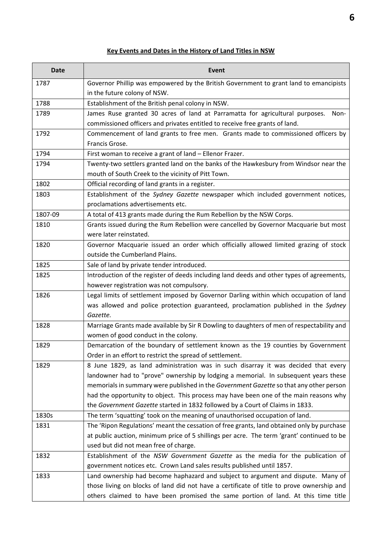## **Key Events and Dates in the History of Land Titles in NSW**

| <b>Date</b> | <b>Event</b>                                                                               |
|-------------|--------------------------------------------------------------------------------------------|
| 1787        | Governor Phillip was empowered by the British Government to grant land to emancipists      |
|             | in the future colony of NSW.                                                               |
| 1788        | Establishment of the British penal colony in NSW.                                          |
| 1789        | James Ruse granted 30 acres of land at Parramatta for agricultural purposes.<br>Non-       |
|             | commissioned officers and privates entitled to receive free grants of land.                |
| 1792        | Commencement of land grants to free men. Grants made to commissioned officers by           |
|             | Francis Grose.                                                                             |
| 1794        | First woman to receive a grant of land - Ellenor Frazer.                                   |
| 1794        | Twenty-two settlers granted land on the banks of the Hawkesbury from Windsor near the      |
|             | mouth of South Creek to the vicinity of Pitt Town.                                         |
| 1802        | Official recording of land grants in a register.                                           |
| 1803        | Establishment of the Sydney Gazette newspaper which included government notices,           |
|             | proclamations advertisements etc.                                                          |
| 1807-09     | A total of 413 grants made during the Rum Rebellion by the NSW Corps.                      |
| 1810        | Grants issued during the Rum Rebellion were cancelled by Governor Macquarie but most       |
|             | were later reinstated.                                                                     |
| 1820        | Governor Macquarie issued an order which officially allowed limited grazing of stock       |
|             | outside the Cumberland Plains.                                                             |
| 1825        | Sale of land by private tender introduced.                                                 |
| 1825        | Introduction of the register of deeds including land deeds and other types of agreements,  |
|             | however registration was not compulsory.                                                   |
| 1826        | Legal limits of settlement imposed by Governor Darling within which occupation of land     |
|             | was allowed and police protection guaranteed, proclamation published in the Sydney         |
|             | Gazette.                                                                                   |
| 1828        | Marriage Grants made available by Sir R Dowling to daughters of men of respectability and  |
|             | women of good conduct in the colony.                                                       |
| 1829        | Demarcation of the boundary of settlement known as the 19 counties by Government           |
|             | Order in an effort to restrict the spread of settlement.                                   |
| 1829        | 8 June 1829, as land administration was in such disarray it was decided that every         |
|             | landowner had to "prove" ownership by lodging a memorial. In subsequent years these        |
|             | memorials in summary were published in the Government Gazette so that any other person     |
|             | had the opportunity to object. This process may have been one of the main reasons why      |
|             | the Government Gazette started in 1832 followed by a Court of Claims in 1833.              |
| 1830s       | The term 'squatting' took on the meaning of unauthorised occupation of land.               |
| 1831        | The 'Ripon Regulations' meant the cessation of free grants, land obtained only by purchase |
|             | at public auction, minimum price of 5 shillings per acre. The term 'grant' continued to be |
|             | used but did not mean free of charge.                                                      |
| 1832        | Establishment of the NSW Government Gazette as the media for the publication of            |
|             | government notices etc. Crown Land sales results published until 1857.                     |
| 1833        | Land ownership had become haphazard and subject to argument and dispute. Many of           |
|             | those living on blocks of land did not have a certificate of title to prove ownership and  |
|             | others claimed to have been promised the same portion of land. At this time title          |